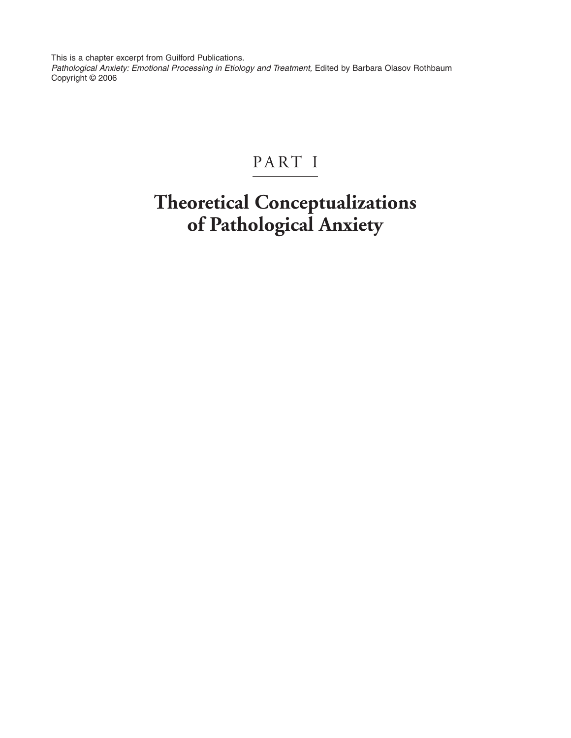This is a chapter excerpt from Guilford Publications. Pathological Anxiety: Emotional Processing in Etiology and Treatment, Edited by Barbara Olasov Rothbaum Copyright © 2006

## PART I

# **Theoretical Conceptualizations of Pathological Anxiety**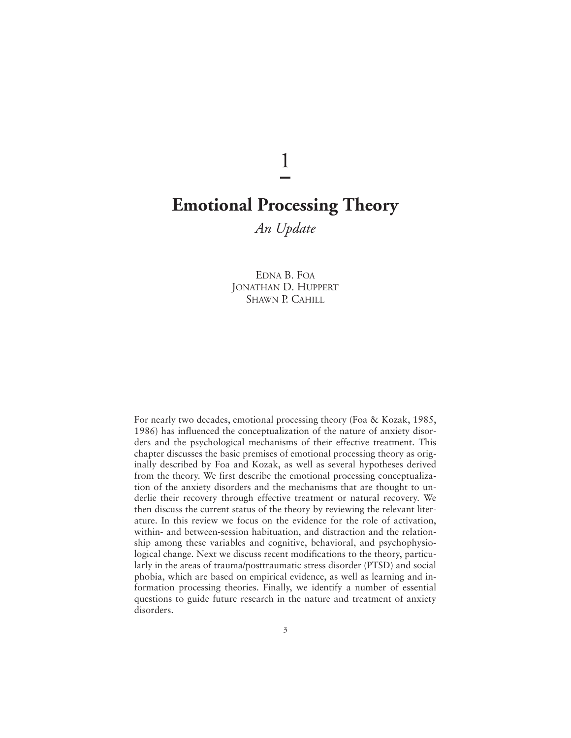# 1

## **Emotional Processing Theory**

*An Update*

EDNA B. FOA JONATHAN D. HUPPERT SHAWN P. CAHILL

For nearly two decades, emotional processing theory (Foa & Kozak, 1985, 1986) has influenced the conceptualization of the nature of anxiety disorders and the psychological mechanisms of their effective treatment. This chapter discusses the basic premises of emotional processing theory as originally described by Foa and Kozak, as well as several hypotheses derived from the theory. We first describe the emotional processing conceptualization of the anxiety disorders and the mechanisms that are thought to underlie their recovery through effective treatment or natural recovery. We then discuss the current status of the theory by reviewing the relevant literature. In this review we focus on the evidence for the role of activation, within- and between-session habituation, and distraction and the relationship among these variables and cognitive, behavioral, and psychophysiological change. Next we discuss recent modifications to the theory, particularly in the areas of trauma/posttraumatic stress disorder (PTSD) and social phobia, which are based on empirical evidence, as well as learning and information processing theories. Finally, we identify a number of essential questions to guide future research in the nature and treatment of anxiety disorders.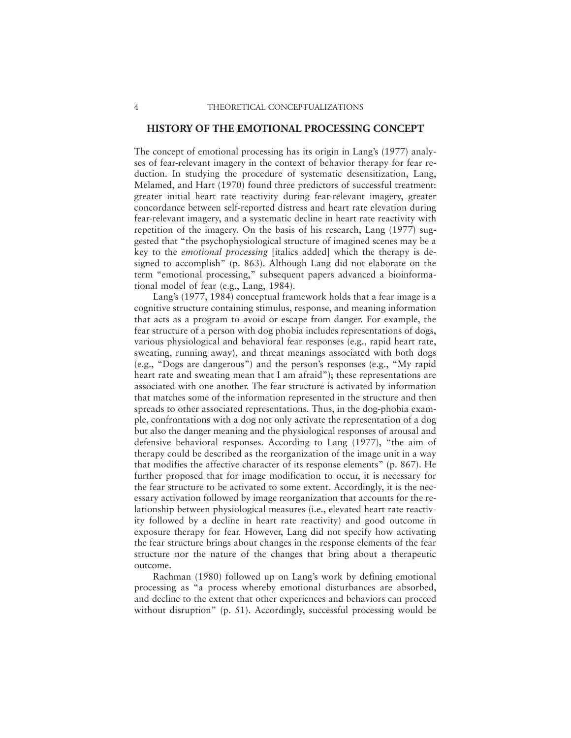#### **HISTORY OF THE EMOTIONAL PROCESSING CONCEPT**

The concept of emotional processing has its origin in Lang's (1977) analyses of fear-relevant imagery in the context of behavior therapy for fear reduction. In studying the procedure of systematic desensitization, Lang, Melamed, and Hart (1970) found three predictors of successful treatment: greater initial heart rate reactivity during fear-relevant imagery, greater concordance between self-reported distress and heart rate elevation during fear-relevant imagery, and a systematic decline in heart rate reactivity with repetition of the imagery. On the basis of his research, Lang (1977) suggested that "the psychophysiological structure of imagined scenes may be a key to the *emotional processing* [italics added] which the therapy is designed to accomplish" (p. 863). Although Lang did not elaborate on the term "emotional processing," subsequent papers advanced a bioinformational model of fear (e.g., Lang, 1984).

Lang's (1977, 1984) conceptual framework holds that a fear image is a cognitive structure containing stimulus, response, and meaning information that acts as a program to avoid or escape from danger. For example, the fear structure of a person with dog phobia includes representations of dogs, various physiological and behavioral fear responses (e.g., rapid heart rate, sweating, running away), and threat meanings associated with both dogs (e.g., "Dogs are dangerous") and the person's responses (e.g., "My rapid heart rate and sweating mean that I am afraid"); these representations are associated with one another. The fear structure is activated by information that matches some of the information represented in the structure and then spreads to other associated representations. Thus, in the dog-phobia example, confrontations with a dog not only activate the representation of a dog but also the danger meaning and the physiological responses of arousal and defensive behavioral responses. According to Lang (1977), "the aim of therapy could be described as the reorganization of the image unit in a way that modifies the affective character of its response elements" (p. 867). He further proposed that for image modification to occur, it is necessary for the fear structure to be activated to some extent. Accordingly, it is the necessary activation followed by image reorganization that accounts for the relationship between physiological measures (i.e., elevated heart rate reactivity followed by a decline in heart rate reactivity) and good outcome in exposure therapy for fear. However, Lang did not specify how activating the fear structure brings about changes in the response elements of the fear structure nor the nature of the changes that bring about a therapeutic outcome.

Rachman (1980) followed up on Lang's work by defining emotional processing as "a process whereby emotional disturbances are absorbed, and decline to the extent that other experiences and behaviors can proceed without disruption" (p. 51). Accordingly, successful processing would be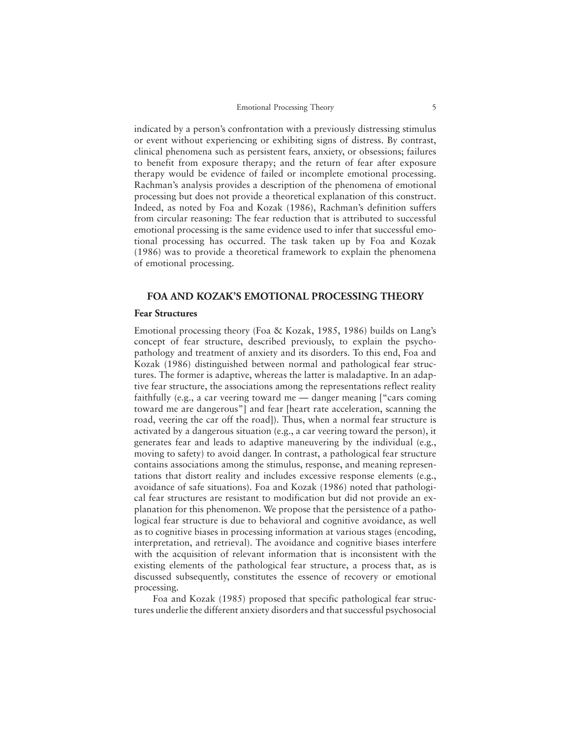indicated by a person's confrontation with a previously distressing stimulus or event without experiencing or exhibiting signs of distress. By contrast, clinical phenomena such as persistent fears, anxiety, or obsessions; failures to benefit from exposure therapy; and the return of fear after exposure therapy would be evidence of failed or incomplete emotional processing. Rachman's analysis provides a description of the phenomena of emotional processing but does not provide a theoretical explanation of this construct. Indeed, as noted by Foa and Kozak (1986), Rachman's definition suffers from circular reasoning: The fear reduction that is attributed to successful emotional processing is the same evidence used to infer that successful emotional processing has occurred. The task taken up by Foa and Kozak (1986) was to provide a theoretical framework to explain the phenomena of emotional processing.

### **FOA AND KOZAK'S EMOTIONAL PROCESSING THEORY**

#### **Fear Structures**

Emotional processing theory (Foa & Kozak, 1985, 1986) builds on Lang's concept of fear structure, described previously, to explain the psychopathology and treatment of anxiety and its disorders. To this end, Foa and Kozak (1986) distinguished between normal and pathological fear structures. The former is adaptive, whereas the latter is maladaptive. In an adaptive fear structure, the associations among the representations reflect reality faithfully (e.g., a car veering toward me — danger meaning ["cars coming toward me are dangerous"] and fear [heart rate acceleration, scanning the road, veering the car off the road]). Thus, when a normal fear structure is activated by a dangerous situation (e.g., a car veering toward the person), it generates fear and leads to adaptive maneuvering by the individual (e.g., moving to safety) to avoid danger. In contrast, a pathological fear structure contains associations among the stimulus, response, and meaning representations that distort reality and includes excessive response elements (e.g., avoidance of safe situations). Foa and Kozak (1986) noted that pathological fear structures are resistant to modification but did not provide an explanation for this phenomenon. We propose that the persistence of a pathological fear structure is due to behavioral and cognitive avoidance, as well as to cognitive biases in processing information at various stages (encoding, interpretation, and retrieval). The avoidance and cognitive biases interfere with the acquisition of relevant information that is inconsistent with the existing elements of the pathological fear structure, a process that, as is discussed subsequently, constitutes the essence of recovery or emotional processing.

Foa and Kozak (1985) proposed that specific pathological fear structures underlie the different anxiety disorders and that successful psychosocial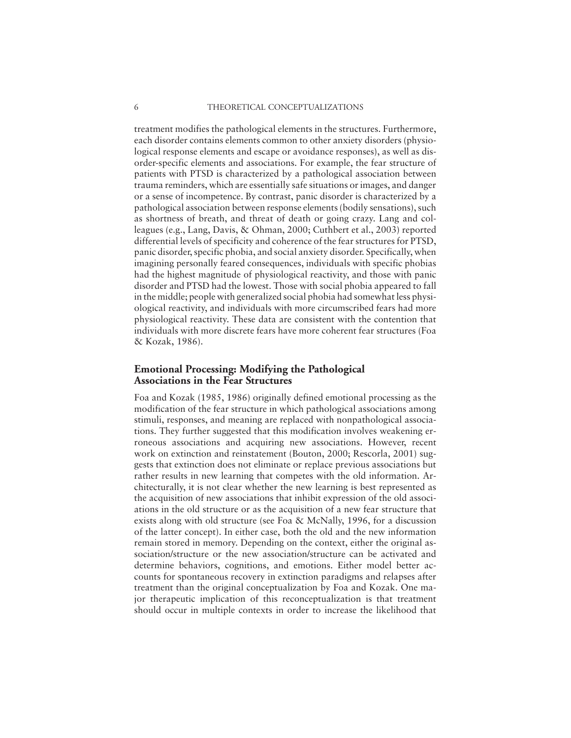treatment modifies the pathological elements in the structures. Furthermore, each disorder contains elements common to other anxiety disorders (physiological response elements and escape or avoidance responses), as well as disorder-specific elements and associations. For example, the fear structure of patients with PTSD is characterized by a pathological association between trauma reminders, which are essentially safe situations or images, and danger or a sense of incompetence. By contrast, panic disorder is characterized by a pathological association between response elements (bodily sensations), such as shortness of breath, and threat of death or going crazy. Lang and colleagues (e.g., Lang, Davis, & Ohman, 2000; Cuthbert et al., 2003) reported differential levels of specificity and coherence of the fear structures for PTSD, panic disorder, specific phobia, and social anxiety disorder. Specifically, when imagining personally feared consequences, individuals with specific phobias had the highest magnitude of physiological reactivity, and those with panic disorder and PTSD had the lowest. Those with social phobia appeared to fall in the middle; people with generalized social phobia had somewhat less physiological reactivity, and individuals with more circumscribed fears had more physiological reactivity. These data are consistent with the contention that individuals with more discrete fears have more coherent fear structures (Foa & Kozak, 1986).

## **Emotional Processing: Modifying the Pathological Associations in the Fear Structures**

Foa and Kozak (1985, 1986) originally defined emotional processing as the modification of the fear structure in which pathological associations among stimuli, responses, and meaning are replaced with nonpathological associations. They further suggested that this modification involves weakening erroneous associations and acquiring new associations. However, recent work on extinction and reinstatement (Bouton, 2000; Rescorla, 2001) suggests that extinction does not eliminate or replace previous associations but rather results in new learning that competes with the old information. Architecturally, it is not clear whether the new learning is best represented as the acquisition of new associations that inhibit expression of the old associations in the old structure or as the acquisition of a new fear structure that exists along with old structure (see Foa & McNally, 1996, for a discussion of the latter concept). In either case, both the old and the new information remain stored in memory. Depending on the context, either the original association/structure or the new association/structure can be activated and determine behaviors, cognitions, and emotions. Either model better accounts for spontaneous recovery in extinction paradigms and relapses after treatment than the original conceptualization by Foa and Kozak. One major therapeutic implication of this reconceptualization is that treatment should occur in multiple contexts in order to increase the likelihood that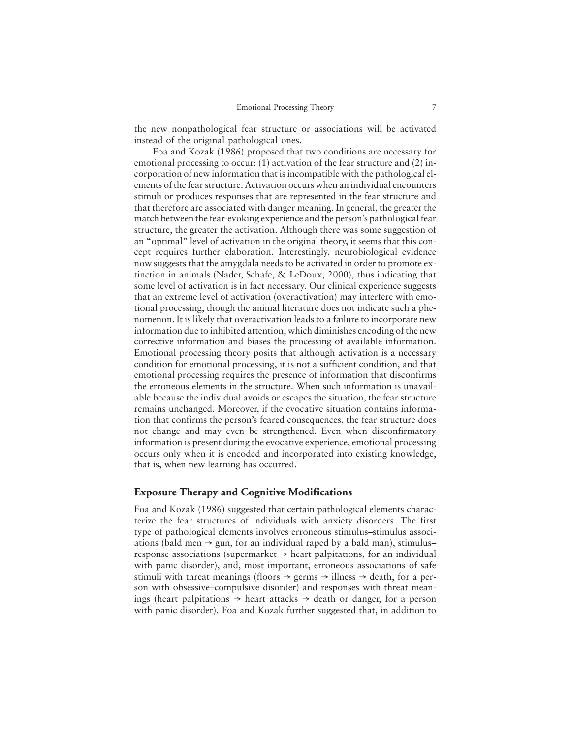the new nonpathological fear structure or associations will be activated instead of the original pathological ones.

Foa and Kozak (1986) proposed that two conditions are necessary for emotional processing to occur: (1) activation of the fear structure and (2) incorporation of new information that is incompatible with the pathological elements of the fear structure. Activation occurs when an individual encounters stimuli or produces responses that are represented in the fear structure and that therefore are associated with danger meaning. In general, the greater the match between the fear-evoking experience and the person's pathological fear structure, the greater the activation. Although there was some suggestion of an "optimal" level of activation in the original theory, it seems that this concept requires further elaboration. Interestingly, neurobiological evidence now suggests that the amygdala needs to be activated in order to promote extinction in animals (Nader, Schafe, & LeDoux, 2000), thus indicating that some level of activation is in fact necessary. Our clinical experience suggests that an extreme level of activation (overactivation) may interfere with emotional processing, though the animal literature does not indicate such a phenomenon. It is likely that overactivation leads to a failure to incorporate new information due to inhibited attention, which diminishes encoding of the new corrective information and biases the processing of available information. Emotional processing theory posits that although activation is a necessary condition for emotional processing, it is not a sufficient condition, and that emotional processing requires the presence of information that disconfirms the erroneous elements in the structure. When such information is unavailable because the individual avoids or escapes the situation, the fear structure remains unchanged. Moreover, if the evocative situation contains information that confirms the person's feared consequences, the fear structure does not change and may even be strengthened. Even when disconfirmatory information is present during the evocative experience, emotional processing occurs only when it is encoded and incorporated into existing knowledge, that is, when new learning has occurred.

## **Exposure Therapy and Cognitive Modifications**

Foa and Kozak (1986) suggested that certain pathological elements characterize the fear structures of individuals with anxiety disorders. The first type of pathological elements involves erroneous stimulus–stimulus associations (bald men  $\rightarrow$  gun, for an individual raped by a bald man), stimulus– response associations (supermarket  $\rightarrow$  heart palpitations, for an individual with panic disorder), and, most important, erroneous associations of safe stimuli with threat meanings (floors  $\rightarrow$  germs  $\rightarrow$  illness  $\rightarrow$  death, for a person with obsessive–compulsive disorder) and responses with threat meanings (heart palpitations  $\rightarrow$  heart attacks  $\rightarrow$  death or danger, for a person with panic disorder). Foa and Kozak further suggested that, in addition to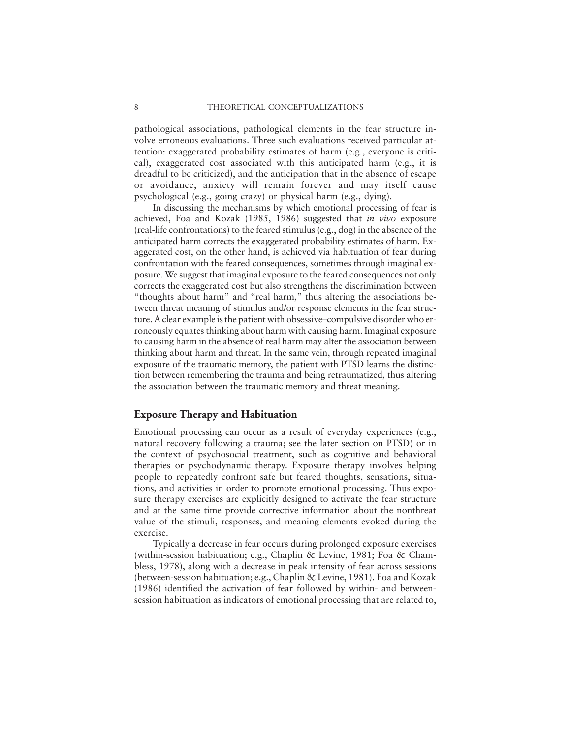pathological associations, pathological elements in the fear structure involve erroneous evaluations. Three such evaluations received particular attention: exaggerated probability estimates of harm (e.g., everyone is critical), exaggerated cost associated with this anticipated harm (e.g., it is dreadful to be criticized), and the anticipation that in the absence of escape or avoidance, anxiety will remain forever and may itself cause psychological (e.g., going crazy) or physical harm (e.g., dying).

In discussing the mechanisms by which emotional processing of fear is achieved, Foa and Kozak (1985, 1986) suggested that *in vivo* exposure (real-life confrontations) to the feared stimulus (e.g., dog) in the absence of the anticipated harm corrects the exaggerated probability estimates of harm. Exaggerated cost, on the other hand, is achieved via habituation of fear during confrontation with the feared consequences, sometimes through imaginal exposure. We suggest that imaginal exposure to the feared consequences not only corrects the exaggerated cost but also strengthens the discrimination between "thoughts about harm" and "real harm," thus altering the associations between threat meaning of stimulus and/or response elements in the fear structure. A clear example is the patient with obsessive–compulsive disorder who erroneously equates thinking about harm with causing harm. Imaginal exposure to causing harm in the absence of real harm may alter the association between thinking about harm and threat. In the same vein, through repeated imaginal exposure of the traumatic memory, the patient with PTSD learns the distinction between remembering the trauma and being retraumatized, thus altering the association between the traumatic memory and threat meaning.

## **Exposure Therapy and Habituation**

Emotional processing can occur as a result of everyday experiences (e.g., natural recovery following a trauma; see the later section on PTSD) or in the context of psychosocial treatment, such as cognitive and behavioral therapies or psychodynamic therapy. Exposure therapy involves helping people to repeatedly confront safe but feared thoughts, sensations, situations, and activities in order to promote emotional processing. Thus exposure therapy exercises are explicitly designed to activate the fear structure and at the same time provide corrective information about the nonthreat value of the stimuli, responses, and meaning elements evoked during the exercise.

Typically a decrease in fear occurs during prolonged exposure exercises (within-session habituation; e.g., Chaplin & Levine, 1981; Foa & Chambless, 1978), along with a decrease in peak intensity of fear across sessions (between-session habituation; e.g., Chaplin & Levine, 1981). Foa and Kozak (1986) identified the activation of fear followed by within- and betweensession habituation as indicators of emotional processing that are related to,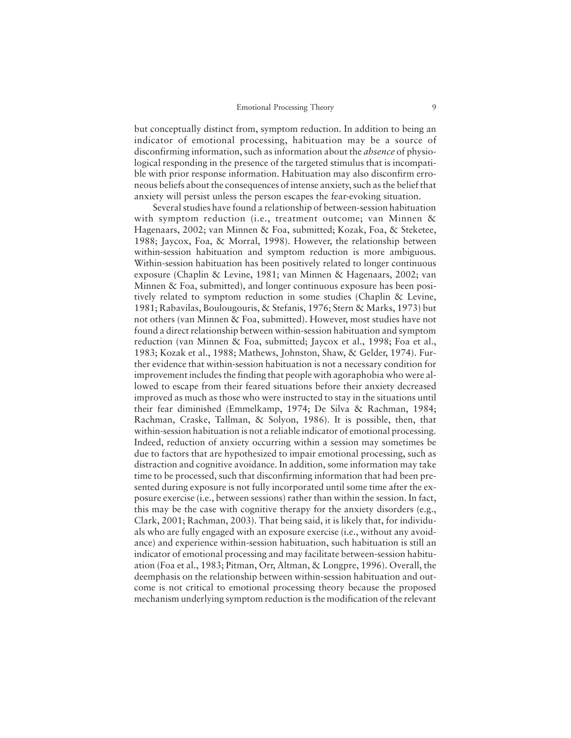but conceptually distinct from, symptom reduction. In addition to being an indicator of emotional processing, habituation may be a source of disconfirming information, such as information about the *absence* of physiological responding in the presence of the targeted stimulus that is incompatible with prior response information. Habituation may also disconfirm erroneous beliefs about the consequences of intense anxiety, such as the belief that anxiety will persist unless the person escapes the fear-evoking situation.

Several studies have found a relationship of between-session habituation with symptom reduction (i.e., treatment outcome; van Minnen & Hagenaars, 2002; van Minnen & Foa, submitted; Kozak, Foa, & Steketee, 1988; Jaycox, Foa, & Morral, 1998). However, the relationship between within-session habituation and symptom reduction is more ambiguous. Within-session habituation has been positively related to longer continuous exposure (Chaplin & Levine, 1981; van Minnen & Hagenaars, 2002; van Minnen & Foa, submitted), and longer continuous exposure has been positively related to symptom reduction in some studies (Chaplin & Levine, 1981; Rabavilas, Boulougouris, & Stefanis, 1976; Stern & Marks, 1973) but not others (van Minnen & Foa, submitted). However, most studies have not found a direct relationship between within-session habituation and symptom reduction (van Minnen & Foa, submitted; Jaycox et al., 1998; Foa et al., 1983; Kozak et al., 1988; Mathews, Johnston, Shaw, & Gelder, 1974). Further evidence that within-session habituation is not a necessary condition for improvement includes the finding that people with agoraphobia who were allowed to escape from their feared situations before their anxiety decreased improved as much as those who were instructed to stay in the situations until their fear diminished (Emmelkamp, 1974; De Silva & Rachman, 1984; Rachman, Craske, Tallman, & Solyon, 1986). It is possible, then, that within-session habituation is not a reliable indicator of emotional processing. Indeed, reduction of anxiety occurring within a session may sometimes be due to factors that are hypothesized to impair emotional processing, such as distraction and cognitive avoidance. In addition, some information may take time to be processed, such that disconfirming information that had been presented during exposure is not fully incorporated until some time after the exposure exercise (i.e., between sessions) rather than within the session. In fact, this may be the case with cognitive therapy for the anxiety disorders (e.g., Clark, 2001; Rachman, 2003). That being said, it is likely that, for individuals who are fully engaged with an exposure exercise (i.e., without any avoidance) and experience within-session habituation, such habituation is still an indicator of emotional processing and may facilitate between-session habituation (Foa et al., 1983; Pitman, Orr, Altman, & Longpre, 1996). Overall, the deemphasis on the relationship between within-session habituation and outcome is not critical to emotional processing theory because the proposed mechanism underlying symptom reduction is the modification of the relevant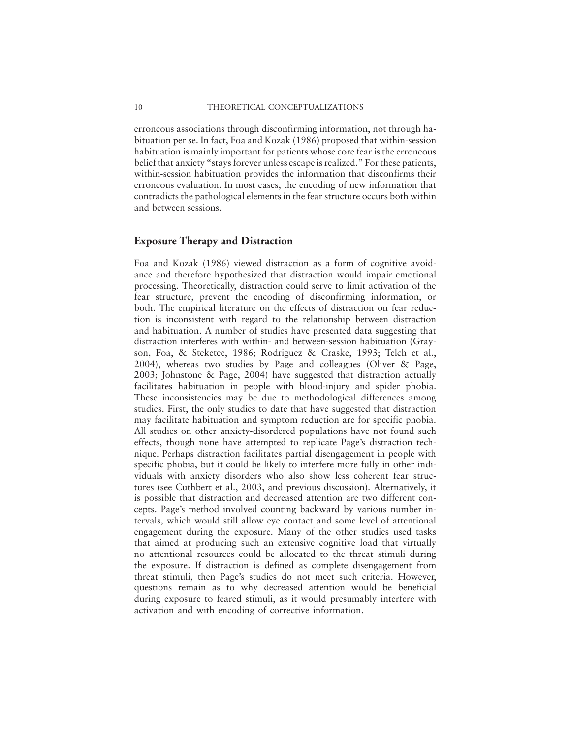erroneous associations through disconfirming information, not through habituation per se. In fact, Foa and Kozak (1986) proposed that within-session habituation is mainly important for patients whose core fear is the erroneous belief that anxiety "stays forever unless escape is realized." For these patients, within-session habituation provides the information that disconfirms their erroneous evaluation. In most cases, the encoding of new information that contradicts the pathological elements in the fear structure occurs both within and between sessions.

## **Exposure Therapy and Distraction**

Foa and Kozak (1986) viewed distraction as a form of cognitive avoidance and therefore hypothesized that distraction would impair emotional processing. Theoretically, distraction could serve to limit activation of the fear structure, prevent the encoding of disconfirming information, or both. The empirical literature on the effects of distraction on fear reduction is inconsistent with regard to the relationship between distraction and habituation. A number of studies have presented data suggesting that distraction interferes with within- and between-session habituation (Grayson, Foa, & Steketee, 1986; Rodriguez & Craske, 1993; Telch et al., 2004), whereas two studies by Page and colleagues (Oliver & Page, 2003; Johnstone & Page, 2004) have suggested that distraction actually facilitates habituation in people with blood-injury and spider phobia. These inconsistencies may be due to methodological differences among studies. First, the only studies to date that have suggested that distraction may facilitate habituation and symptom reduction are for specific phobia. All studies on other anxiety-disordered populations have not found such effects, though none have attempted to replicate Page's distraction technique. Perhaps distraction facilitates partial disengagement in people with specific phobia, but it could be likely to interfere more fully in other individuals with anxiety disorders who also show less coherent fear structures (see Cuthbert et al., 2003, and previous discussion). Alternatively, it is possible that distraction and decreased attention are two different concepts. Page's method involved counting backward by various number intervals, which would still allow eye contact and some level of attentional engagement during the exposure. Many of the other studies used tasks that aimed at producing such an extensive cognitive load that virtually no attentional resources could be allocated to the threat stimuli during the exposure. If distraction is defined as complete disengagement from threat stimuli, then Page's studies do not meet such criteria. However, questions remain as to why decreased attention would be beneficial during exposure to feared stimuli, as it would presumably interfere with activation and with encoding of corrective information.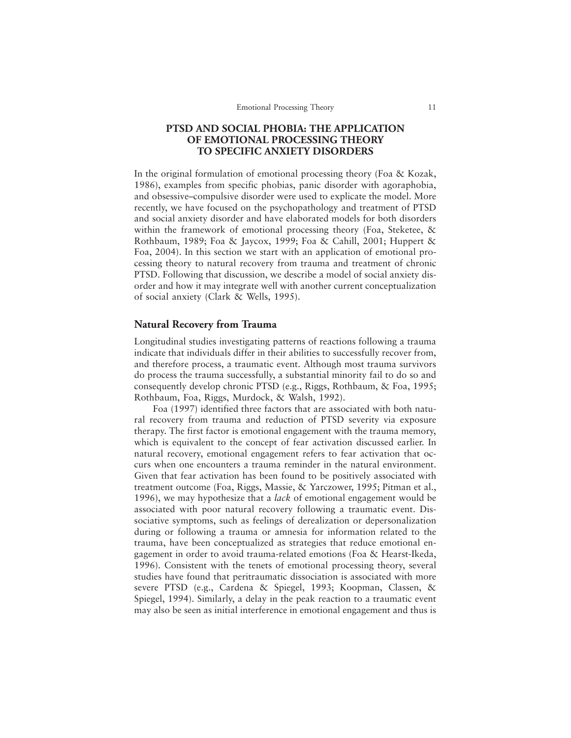## **PTSD AND SOCIAL PHOBIA: THE APPLICATION OF EMOTIONAL PROCESSING THEORY TO SPECIFIC ANXIETY DISORDERS**

In the original formulation of emotional processing theory (Foa & Kozak, 1986), examples from specific phobias, panic disorder with agoraphobia, and obsessive–compulsive disorder were used to explicate the model. More recently, we have focused on the psychopathology and treatment of PTSD and social anxiety disorder and have elaborated models for both disorders within the framework of emotional processing theory (Foa, Steketee, & Rothbaum, 1989; Foa & Jaycox, 1999; Foa & Cahill, 2001; Huppert & Foa, 2004). In this section we start with an application of emotional processing theory to natural recovery from trauma and treatment of chronic PTSD. Following that discussion, we describe a model of social anxiety disorder and how it may integrate well with another current conceptualization of social anxiety (Clark & Wells, 1995).

### **Natural Recovery from Trauma**

Longitudinal studies investigating patterns of reactions following a trauma indicate that individuals differ in their abilities to successfully recover from, and therefore process, a traumatic event. Although most trauma survivors do process the trauma successfully, a substantial minority fail to do so and consequently develop chronic PTSD (e.g., Riggs, Rothbaum, & Foa, 1995; Rothbaum, Foa, Riggs, Murdock, & Walsh, 1992).

Foa (1997) identified three factors that are associated with both natural recovery from trauma and reduction of PTSD severity via exposure therapy. The first factor is emotional engagement with the trauma memory, which is equivalent to the concept of fear activation discussed earlier. In natural recovery, emotional engagement refers to fear activation that occurs when one encounters a trauma reminder in the natural environment. Given that fear activation has been found to be positively associated with treatment outcome (Foa, Riggs, Massie, & Yarczower, 1995; Pitman et al., 1996), we may hypothesize that a *lack* of emotional engagement would be associated with poor natural recovery following a traumatic event. Dissociative symptoms, such as feelings of derealization or depersonalization during or following a trauma or amnesia for information related to the trauma, have been conceptualized as strategies that reduce emotional engagement in order to avoid trauma-related emotions (Foa & Hearst-Ikeda, 1996). Consistent with the tenets of emotional processing theory, several studies have found that peritraumatic dissociation is associated with more severe PTSD (e.g., Cardena & Spiegel, 1993; Koopman, Classen, & Spiegel, 1994). Similarly, a delay in the peak reaction to a traumatic event may also be seen as initial interference in emotional engagement and thus is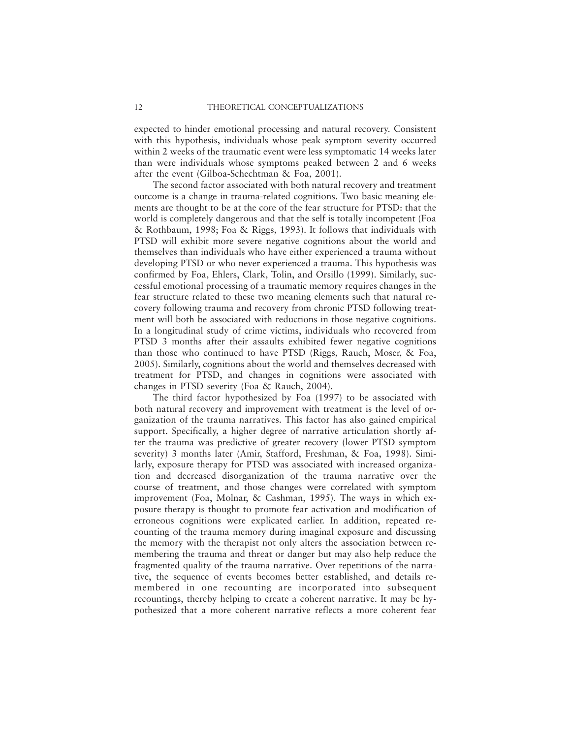expected to hinder emotional processing and natural recovery. Consistent with this hypothesis, individuals whose peak symptom severity occurred within 2 weeks of the traumatic event were less symptomatic 14 weeks later than were individuals whose symptoms peaked between 2 and 6 weeks after the event (Gilboa-Schechtman & Foa, 2001).

The second factor associated with both natural recovery and treatment outcome is a change in trauma-related cognitions. Two basic meaning elements are thought to be at the core of the fear structure for PTSD: that the world is completely dangerous and that the self is totally incompetent (Foa & Rothbaum, 1998; Foa & Riggs, 1993). It follows that individuals with PTSD will exhibit more severe negative cognitions about the world and themselves than individuals who have either experienced a trauma without developing PTSD or who never experienced a trauma. This hypothesis was confirmed by Foa, Ehlers, Clark, Tolin, and Orsillo (1999). Similarly, successful emotional processing of a traumatic memory requires changes in the fear structure related to these two meaning elements such that natural recovery following trauma and recovery from chronic PTSD following treatment will both be associated with reductions in those negative cognitions. In a longitudinal study of crime victims, individuals who recovered from PTSD 3 months after their assaults exhibited fewer negative cognitions than those who continued to have PTSD (Riggs, Rauch, Moser, & Foa, 2005). Similarly, cognitions about the world and themselves decreased with treatment for PTSD, and changes in cognitions were associated with changes in PTSD severity (Foa & Rauch, 2004).

The third factor hypothesized by Foa (1997) to be associated with both natural recovery and improvement with treatment is the level of organization of the trauma narratives. This factor has also gained empirical support. Specifically, a higher degree of narrative articulation shortly after the trauma was predictive of greater recovery (lower PTSD symptom severity) 3 months later (Amir, Stafford, Freshman, & Foa, 1998). Similarly, exposure therapy for PTSD was associated with increased organization and decreased disorganization of the trauma narrative over the course of treatment, and those changes were correlated with symptom improvement (Foa, Molnar, & Cashman, 1995). The ways in which exposure therapy is thought to promote fear activation and modification of erroneous cognitions were explicated earlier. In addition, repeated recounting of the trauma memory during imaginal exposure and discussing the memory with the therapist not only alters the association between remembering the trauma and threat or danger but may also help reduce the fragmented quality of the trauma narrative. Over repetitions of the narrative, the sequence of events becomes better established, and details remembered in one recounting are incorporated into subsequent recountings, thereby helping to create a coherent narrative. It may be hypothesized that a more coherent narrative reflects a more coherent fear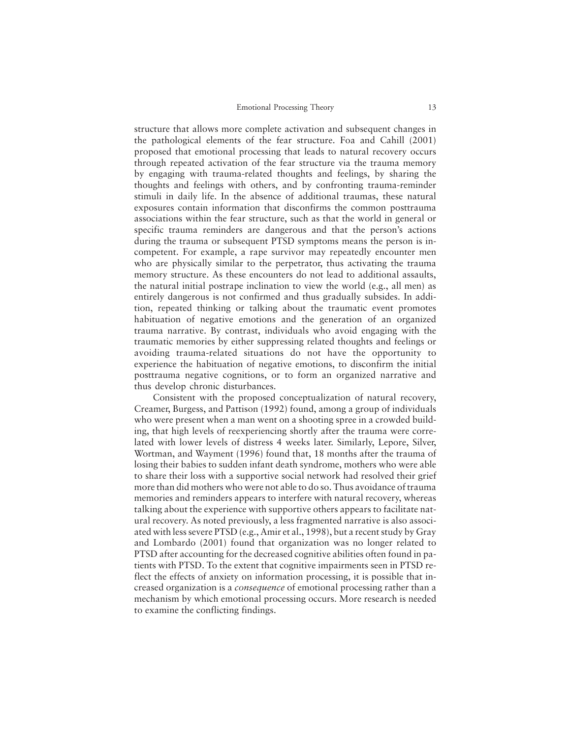structure that allows more complete activation and subsequent changes in the pathological elements of the fear structure. Foa and Cahill (2001) proposed that emotional processing that leads to natural recovery occurs through repeated activation of the fear structure via the trauma memory by engaging with trauma-related thoughts and feelings, by sharing the thoughts and feelings with others, and by confronting trauma-reminder stimuli in daily life. In the absence of additional traumas, these natural exposures contain information that disconfirms the common posttrauma associations within the fear structure, such as that the world in general or specific trauma reminders are dangerous and that the person's actions during the trauma or subsequent PTSD symptoms means the person is incompetent. For example, a rape survivor may repeatedly encounter men who are physically similar to the perpetrator, thus activating the trauma memory structure. As these encounters do not lead to additional assaults, the natural initial postrape inclination to view the world (e.g., all men) as entirely dangerous is not confirmed and thus gradually subsides. In addition, repeated thinking or talking about the traumatic event promotes habituation of negative emotions and the generation of an organized trauma narrative. By contrast, individuals who avoid engaging with the traumatic memories by either suppressing related thoughts and feelings or avoiding trauma-related situations do not have the opportunity to experience the habituation of negative emotions, to disconfirm the initial posttrauma negative cognitions, or to form an organized narrative and thus develop chronic disturbances.

Consistent with the proposed conceptualization of natural recovery, Creamer, Burgess, and Pattison (1992) found, among a group of individuals who were present when a man went on a shooting spree in a crowded building, that high levels of reexperiencing shortly after the trauma were correlated with lower levels of distress 4 weeks later. Similarly, Lepore, Silver, Wortman, and Wayment (1996) found that, 18 months after the trauma of losing their babies to sudden infant death syndrome, mothers who were able to share their loss with a supportive social network had resolved their grief more than did mothers who were not able to do so. Thus avoidance of trauma memories and reminders appears to interfere with natural recovery, whereas talking about the experience with supportive others appears to facilitate natural recovery. As noted previously, a less fragmented narrative is also associated with less severe PTSD (e.g., Amir et al., 1998), but a recent study by Gray and Lombardo (2001) found that organization was no longer related to PTSD after accounting for the decreased cognitive abilities often found in patients with PTSD. To the extent that cognitive impairments seen in PTSD reflect the effects of anxiety on information processing, it is possible that increased organization is a *consequence* of emotional processing rather than a mechanism by which emotional processing occurs. More research is needed to examine the conflicting findings.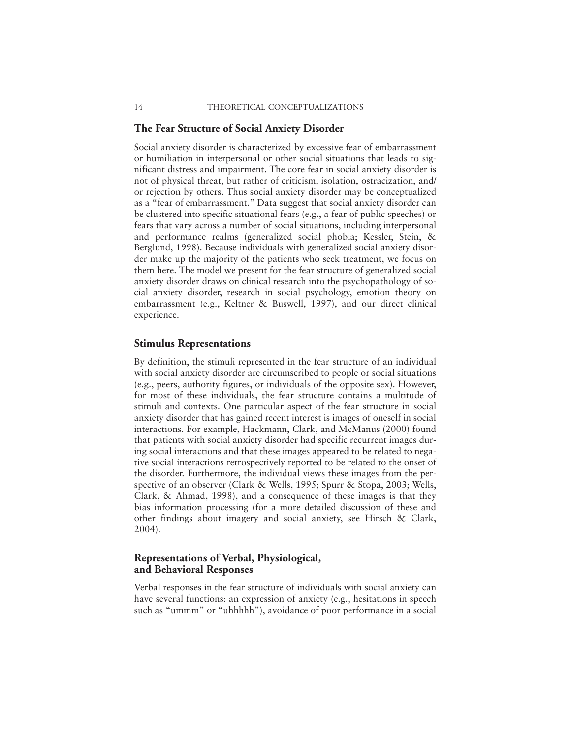#### 14 THEORETICAL CONCEPTUALIZATIONS

## **The Fear Structure of Social Anxiety Disorder**

Social anxiety disorder is characterized by excessive fear of embarrassment or humiliation in interpersonal or other social situations that leads to significant distress and impairment. The core fear in social anxiety disorder is not of physical threat, but rather of criticism, isolation, ostracization, and/ or rejection by others. Thus social anxiety disorder may be conceptualized as a "fear of embarrassment." Data suggest that social anxiety disorder can be clustered into specific situational fears (e.g., a fear of public speeches) or fears that vary across a number of social situations, including interpersonal and performance realms (generalized social phobia; Kessler, Stein, & Berglund, 1998). Because individuals with generalized social anxiety disorder make up the majority of the patients who seek treatment, we focus on them here. The model we present for the fear structure of generalized social anxiety disorder draws on clinical research into the psychopathology of social anxiety disorder, research in social psychology, emotion theory on embarrassment (e.g., Keltner & Buswell, 1997), and our direct clinical experience.

## **Stimulus Representations**

By definition, the stimuli represented in the fear structure of an individual with social anxiety disorder are circumscribed to people or social situations (e.g., peers, authority figures, or individuals of the opposite sex). However, for most of these individuals, the fear structure contains a multitude of stimuli and contexts. One particular aspect of the fear structure in social anxiety disorder that has gained recent interest is images of oneself in social interactions. For example, Hackmann, Clark, and McManus (2000) found that patients with social anxiety disorder had specific recurrent images during social interactions and that these images appeared to be related to negative social interactions retrospectively reported to be related to the onset of the disorder. Furthermore, the individual views these images from the perspective of an observer (Clark & Wells, 1995; Spurr & Stopa, 2003; Wells, Clark, & Ahmad, 1998), and a consequence of these images is that they bias information processing (for a more detailed discussion of these and other findings about imagery and social anxiety, see Hirsch & Clark, 2004).

## **Representations of Verbal, Physiological, and Behavioral Responses**

Verbal responses in the fear structure of individuals with social anxiety can have several functions: an expression of anxiety (e.g., hesitations in speech such as "ummm" or "uhhhhh"), avoidance of poor performance in a social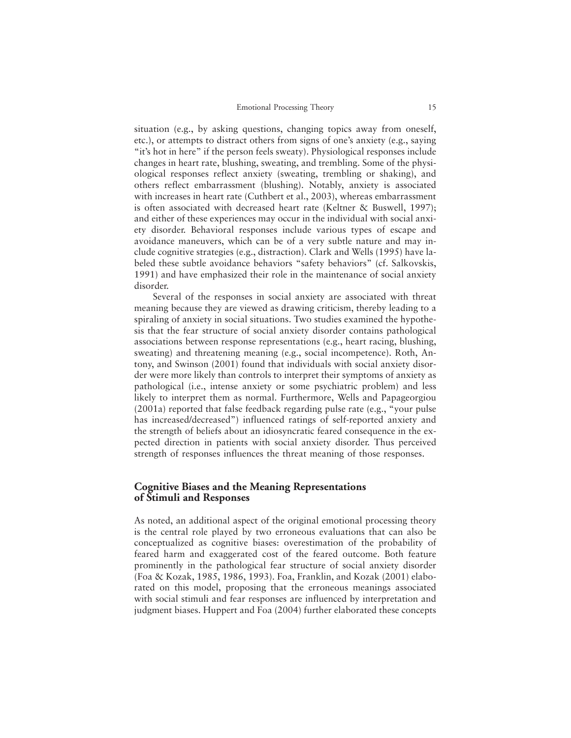situation (e.g., by asking questions, changing topics away from oneself, etc.), or attempts to distract others from signs of one's anxiety (e.g., saying "it's hot in here" if the person feels sweaty). Physiological responses include changes in heart rate, blushing, sweating, and trembling. Some of the physiological responses reflect anxiety (sweating, trembling or shaking), and others reflect embarrassment (blushing). Notably, anxiety is associated with increases in heart rate (Cuthbert et al., 2003), whereas embarrassment is often associated with decreased heart rate (Keltner & Buswell, 1997); and either of these experiences may occur in the individual with social anxiety disorder. Behavioral responses include various types of escape and avoidance maneuvers, which can be of a very subtle nature and may include cognitive strategies (e.g., distraction). Clark and Wells (1995) have labeled these subtle avoidance behaviors "safety behaviors" (cf. Salkovskis, 1991) and have emphasized their role in the maintenance of social anxiety disorder.

Several of the responses in social anxiety are associated with threat meaning because they are viewed as drawing criticism, thereby leading to a spiraling of anxiety in social situations. Two studies examined the hypothesis that the fear structure of social anxiety disorder contains pathological associations between response representations (e.g., heart racing, blushing, sweating) and threatening meaning (e.g., social incompetence). Roth, Antony, and Swinson (2001) found that individuals with social anxiety disorder were more likely than controls to interpret their symptoms of anxiety as pathological (i.e., intense anxiety or some psychiatric problem) and less likely to interpret them as normal. Furthermore, Wells and Papageorgiou (2001a) reported that false feedback regarding pulse rate (e.g., "your pulse has increased/decreased") influenced ratings of self-reported anxiety and the strength of beliefs about an idiosyncratic feared consequence in the expected direction in patients with social anxiety disorder. Thus perceived strength of responses influences the threat meaning of those responses.

## **Cognitive Biases and the Meaning Representations of Stimuli and Responses**

As noted, an additional aspect of the original emotional processing theory is the central role played by two erroneous evaluations that can also be conceptualized as cognitive biases: overestimation of the probability of feared harm and exaggerated cost of the feared outcome. Both feature prominently in the pathological fear structure of social anxiety disorder (Foa & Kozak, 1985, 1986, 1993). Foa, Franklin, and Kozak (2001) elaborated on this model, proposing that the erroneous meanings associated with social stimuli and fear responses are influenced by interpretation and judgment biases. Huppert and Foa (2004) further elaborated these concepts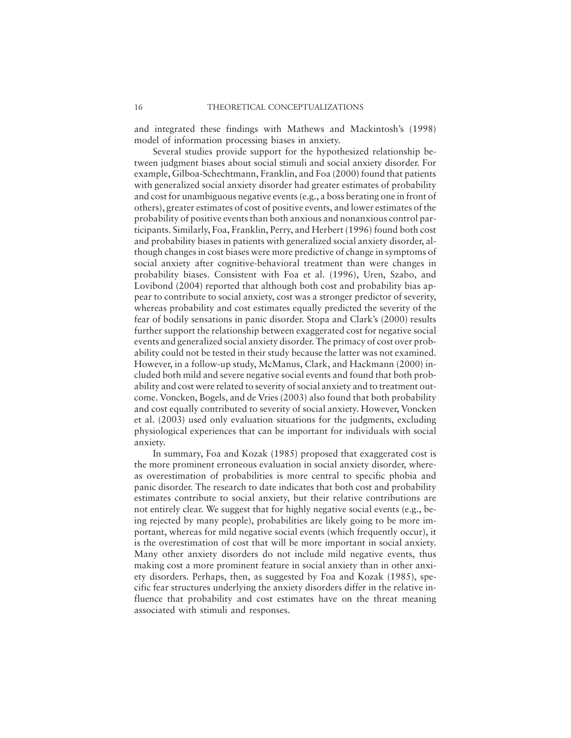and integrated these findings with Mathews and Mackintosh's (1998) model of information processing biases in anxiety.

Several studies provide support for the hypothesized relationship between judgment biases about social stimuli and social anxiety disorder. For example, Gilboa-Schechtmann, Franklin, and Foa (2000) found that patients with generalized social anxiety disorder had greater estimates of probability and cost for unambiguous negative events (e.g., a boss berating one in front of others), greater estimates of cost of positive events, and lower estimates of the probability of positive events than both anxious and nonanxious control participants. Similarly, Foa, Franklin, Perry, and Herbert (1996) found both cost and probability biases in patients with generalized social anxiety disorder, although changes in cost biases were more predictive of change in symptoms of social anxiety after cognitive-behavioral treatment than were changes in probability biases. Consistent with Foa et al. (1996), Uren, Szabo, and Lovibond (2004) reported that although both cost and probability bias appear to contribute to social anxiety, cost was a stronger predictor of severity, whereas probability and cost estimates equally predicted the severity of the fear of bodily sensations in panic disorder. Stopa and Clark's (2000) results further support the relationship between exaggerated cost for negative social events and generalized social anxiety disorder. The primacy of cost over probability could not be tested in their study because the latter was not examined. However, in a follow-up study, McManus, Clark, and Hackmann (2000) included both mild and severe negative social events and found that both probability and cost were related to severity of social anxiety and to treatment outcome. Voncken, Bogels, and de Vries (2003) also found that both probability and cost equally contributed to severity of social anxiety. However, Voncken et al. (2003) used only evaluation situations for the judgments, excluding physiological experiences that can be important for individuals with social anxiety.

In summary, Foa and Kozak (1985) proposed that exaggerated cost is the more prominent erroneous evaluation in social anxiety disorder, whereas overestimation of probabilities is more central to specific phobia and panic disorder. The research to date indicates that both cost and probability estimates contribute to social anxiety, but their relative contributions are not entirely clear. We suggest that for highly negative social events (e.g., being rejected by many people), probabilities are likely going to be more important, whereas for mild negative social events (which frequently occur), it is the overestimation of cost that will be more important in social anxiety. Many other anxiety disorders do not include mild negative events, thus making cost a more prominent feature in social anxiety than in other anxiety disorders. Perhaps, then, as suggested by Foa and Kozak (1985), specific fear structures underlying the anxiety disorders differ in the relative influence that probability and cost estimates have on the threat meaning associated with stimuli and responses.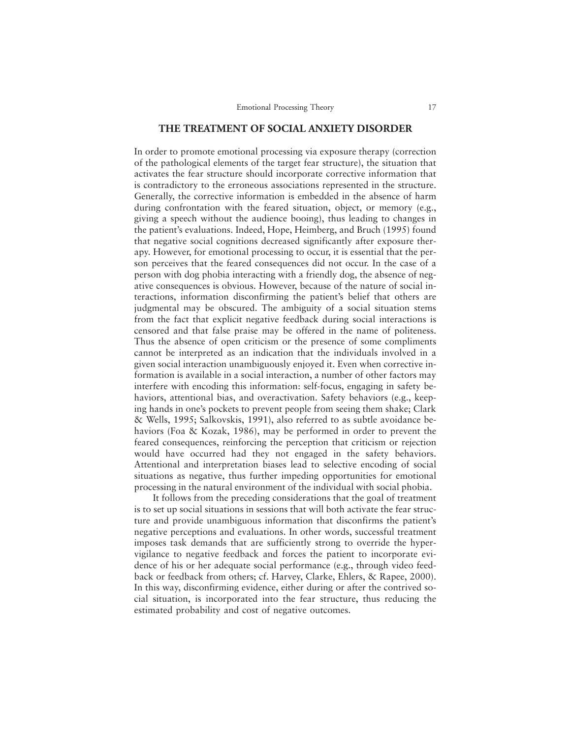#### **THE TREATMENT OF SOCIAL ANXIETY DISORDER**

In order to promote emotional processing via exposure therapy (correction of the pathological elements of the target fear structure), the situation that activates the fear structure should incorporate corrective information that is contradictory to the erroneous associations represented in the structure. Generally, the corrective information is embedded in the absence of harm during confrontation with the feared situation, object, or memory (e.g., giving a speech without the audience booing), thus leading to changes in the patient's evaluations. Indeed, Hope, Heimberg, and Bruch (1995) found that negative social cognitions decreased significantly after exposure therapy. However, for emotional processing to occur, it is essential that the person perceives that the feared consequences did not occur. In the case of a person with dog phobia interacting with a friendly dog, the absence of negative consequences is obvious. However, because of the nature of social interactions, information disconfirming the patient's belief that others are judgmental may be obscured. The ambiguity of a social situation stems from the fact that explicit negative feedback during social interactions is censored and that false praise may be offered in the name of politeness. Thus the absence of open criticism or the presence of some compliments cannot be interpreted as an indication that the individuals involved in a given social interaction unambiguously enjoyed it. Even when corrective information is available in a social interaction, a number of other factors may interfere with encoding this information: self-focus, engaging in safety behaviors, attentional bias, and overactivation. Safety behaviors (e.g., keeping hands in one's pockets to prevent people from seeing them shake; Clark & Wells, 1995; Salkovskis, 1991), also referred to as subtle avoidance behaviors (Foa & Kozak, 1986), may be performed in order to prevent the feared consequences, reinforcing the perception that criticism or rejection would have occurred had they not engaged in the safety behaviors. Attentional and interpretation biases lead to selective encoding of social situations as negative, thus further impeding opportunities for emotional processing in the natural environment of the individual with social phobia.

It follows from the preceding considerations that the goal of treatment is to set up social situations in sessions that will both activate the fear structure and provide unambiguous information that disconfirms the patient's negative perceptions and evaluations. In other words, successful treatment imposes task demands that are sufficiently strong to override the hypervigilance to negative feedback and forces the patient to incorporate evidence of his or her adequate social performance (e.g., through video feedback or feedback from others; cf. Harvey, Clarke, Ehlers, & Rapee, 2000). In this way, disconfirming evidence, either during or after the contrived social situation, is incorporated into the fear structure, thus reducing the estimated probability and cost of negative outcomes.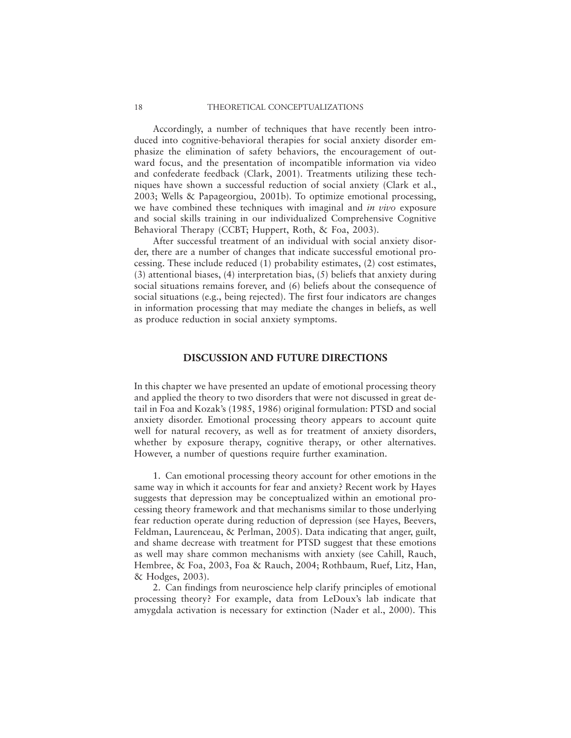Accordingly, a number of techniques that have recently been introduced into cognitive-behavioral therapies for social anxiety disorder emphasize the elimination of safety behaviors, the encouragement of outward focus, and the presentation of incompatible information via video and confederate feedback (Clark, 2001). Treatments utilizing these techniques have shown a successful reduction of social anxiety (Clark et al., 2003; Wells & Papageorgiou, 2001b). To optimize emotional processing, we have combined these techniques with imaginal and *in vivo* exposure and social skills training in our individualized Comprehensive Cognitive Behavioral Therapy (CCBT; Huppert, Roth, & Foa, 2003).

After successful treatment of an individual with social anxiety disorder, there are a number of changes that indicate successful emotional processing. These include reduced (1) probability estimates, (2) cost estimates, (3) attentional biases, (4) interpretation bias, (5) beliefs that anxiety during social situations remains forever, and (6) beliefs about the consequence of social situations (e.g., being rejected). The first four indicators are changes in information processing that may mediate the changes in beliefs, as well as produce reduction in social anxiety symptoms.

## **DISCUSSION AND FUTURE DIRECTIONS**

In this chapter we have presented an update of emotional processing theory and applied the theory to two disorders that were not discussed in great detail in Foa and Kozak's (1985, 1986) original formulation: PTSD and social anxiety disorder. Emotional processing theory appears to account quite well for natural recovery, as well as for treatment of anxiety disorders, whether by exposure therapy, cognitive therapy, or other alternatives. However, a number of questions require further examination.

1. Can emotional processing theory account for other emotions in the same way in which it accounts for fear and anxiety? Recent work by Hayes suggests that depression may be conceptualized within an emotional processing theory framework and that mechanisms similar to those underlying fear reduction operate during reduction of depression (see Hayes, Beevers, Feldman, Laurenceau, & Perlman, 2005). Data indicating that anger, guilt, and shame decrease with treatment for PTSD suggest that these emotions as well may share common mechanisms with anxiety (see Cahill, Rauch, Hembree, & Foa, 2003, Foa & Rauch, 2004; Rothbaum, Ruef, Litz, Han, & Hodges, 2003).

2. Can findings from neuroscience help clarify principles of emotional processing theory? For example, data from LeDoux's lab indicate that amygdala activation is necessary for extinction (Nader et al., 2000). This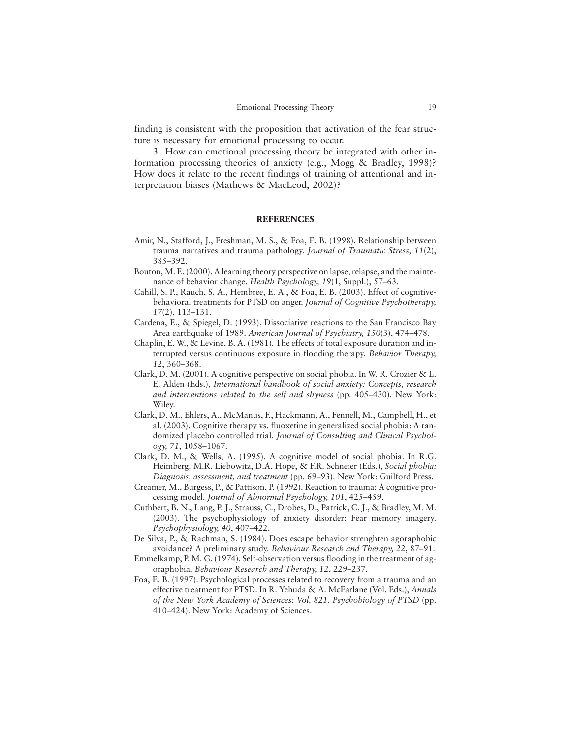finding is consistent with the proposition that activation of the fear structure is necessary for emotional processing to occur.

3. How can emotional processing theory be integrated with other information processing theories of anxiety (e.g., Mogg & Bradley, 1998)? How does it relate to the recent findings of training of attentional and interpretation biases (Mathews & MacLeod, 2002)?

#### **REFERENCES**

- Amir, N., Stafford, J., Freshman, M. S., & Foa, E. B. (1998). Relationship between trauma narratives and trauma pathology. *Journal of Traumatic Stress, 11*(2), 385–392.
- Bouton, M. E. (2000). A learning theory perspective on lapse, relapse, and the maintenance of behavior change. *Health Psychology, 19*(1, Suppl.), 57–63.
- Cahill, S. P., Rauch, S. A., Hembree, E. A., & Foa, E. B. (2003). Effect of cognitivebehavioral treatments for PTSD on anger. *Journal of Cognitive Psychotherapy, 17*(2), 113–131.
- Cardena, E., & Spiegel, D. (1993). Dissociative reactions to the San Francisco Bay Area earthquake of 1989. *American Journal of Psychiatry, 150*(3), 474–478.
- Chaplin, E. W., & Levine, B. A. (1981). The effects of total exposure duration and interrupted versus continuous exposure in flooding therapy. *Behavior Therapy, 12*, 360–368.
- Clark, D. M. (2001). A cognitive perspective on social phobia. In W. R. Crozier & L. E. Alden (Eds.), *International handbook of social anxiety: Concepts, research and interventions related to the self and shyness* (pp. 405–430). New York: Wiley.
- Clark, D. M., Ehlers, A., McManus, F., Hackmann, A., Fennell, M., Campbell, H., et al. (2003). Cognitive therapy vs. fluoxetine in generalized social phobia: A randomized placebo controlled trial. *Journal of Consulting and Clinical Psychology, 71*, 1058–1067.
- Clark, D. M., & Wells, A. (1995). A cognitive model of social phobia. In R.G. Heimberg, M.R. Liebowitz, D.A. Hope, & F.R. Schneier (Eds.), *Social phobia: Diagnosis, assessment, and treatment* (pp. 69–93). New York: Guilford Press.
- Creamer, M., Burgess, P., & Pattison, P. (1992). Reaction to trauma: A cognitive processing model. *Journal of Abnormal Psychology, 101*, 425–459.
- Cuthbert, B. N., Lang, P. J., Strauss, C., Drobes, D., Patrick, C. J., & Bradley, M. M. (2003). The psychophysiology of anxiety disorder: Fear memory imagery. *Psychophysiology, 40*, 407–422.
- De Silva, P., & Rachman, S. (1984). Does escape behavior strenghten agoraphobic avoidance? A preliminary study. *Behaviour Research and Therapy, 22*, 87–91.
- Emmelkamp, P. M. G. (1974). Self-observation versus flooding in the treatment of agoraphobia. *Behaviour Research and Therapy, 12*, 229–237.
- Foa, E. B. (1997). Psychological processes related to recovery from a trauma and an effective treatment for PTSD. In R. Yehuda & A. McFarlane (Vol. Eds.), *Annals of the New York Academy of Sciences: Vol. 821. Psychobiology of PTSD* (pp. 410–424). New York: Academy of Sciences.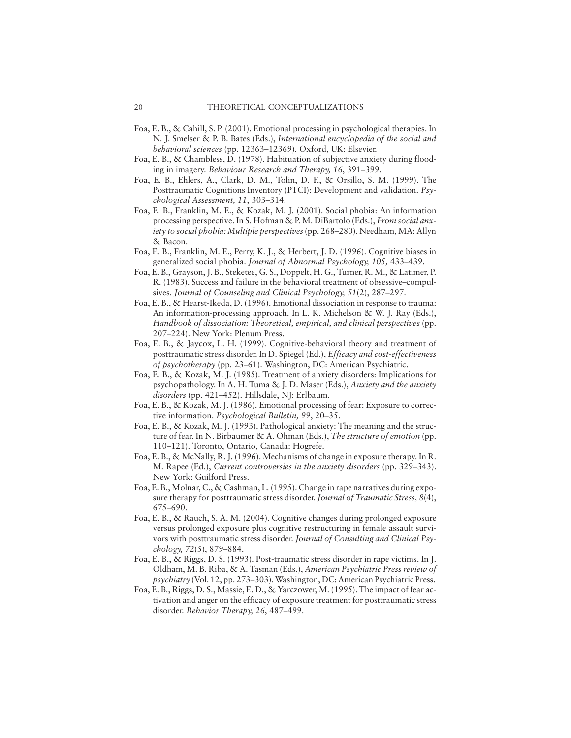- Foa, E. B., & Cahill, S. P. (2001). Emotional processing in psychological therapies. In N. J. Smelser & P. B. Bates (Eds.), *International encyclopedia of the social and behavioral sciences* (pp. 12363–12369). Oxford, UK: Elsevier.
- Foa, E. B., & Chambless, D. (1978). Habituation of subjective anxiety during flooding in imagery. *Behaviour Research and Therapy, 16*, 391–399.
- Foa, E. B., Ehlers, A., Clark, D. M., Tolin, D. F., & Orsillo, S. M. (1999). The Posttraumatic Cognitions Inventory (PTCI): Development and validation. *Psychological Assessment, 11*, 303–314.
- Foa, E. B., Franklin, M. E., & Kozak, M. J. (2001). Social phobia: An information processing perspective. In S. Hofman & P. M. DiBartolo (Eds.), *From social anxiety to social phobia: Multiple perspectives*(pp. 268–280). Needham, MA: Allyn & Bacon.
- Foa, E. B., Franklin, M. E., Perry, K. J., & Herbert, J. D. (1996). Cognitive biases in generalized social phobia. *Journal of Abnormal Psychology, 105,* 433–439.
- Foa, E. B., Grayson, J. B., Steketee, G. S., Doppelt, H. G., Turner, R. M., & Latimer, P. R. (1983). Success and failure in the behavioral treatment of obsessive–compulsives. *Journal of Counseling and Clinical Psychology, 51*(2), 287–297.
- Foa, E. B., & Hearst-Ikeda, D. (1996). Emotional dissociation in response to trauma: An information-processing approach. In L. K. Michelson & W. J. Ray (Eds.), *Handbook of dissociation: Theoretical, empirical, and clinical perspectives* (pp. 207–224). New York: Plenum Press.
- Foa, E. B., & Jaycox, L. H. (1999). Cognitive-behavioral theory and treatment of posttraumatic stress disorder. In D. Spiegel (Ed.), *Efficacy and cost-effectiveness of psychotherapy* (pp. 23–61). Washington, DC: American Psychiatric.
- Foa, E. B., & Kozak, M. J. (1985). Treatment of anxiety disorders: Implications for psychopathology. In A. H. Tuma & J. D. Maser (Eds.), *Anxiety and the anxiety disorders* (pp. 421–452). Hillsdale, NJ: Erlbaum.
- Foa, E. B., & Kozak, M. J. (1986). Emotional processing of fear: Exposure to corrective information. *Psychological Bulletin, 99*, 20–35.
- Foa, E. B., & Kozak, M. J. (1993). Pathological anxiety: The meaning and the structure of fear. In N. Birbaumer & A. Ohman (Eds.), *The structure of emotion* (pp. 110–121). Toronto, Ontario, Canada: Hogrefe.
- Foa, E. B., & McNally, R. J. (1996). Mechanisms of change in exposure therapy. In R. M. Rapee (Ed.), *Current controversies in the anxiety disorders* (pp. 329–343). New York: Guilford Press.
- Foa, E. B., Molnar, C., & Cashman, L. (1995). Change in rape narratives during exposure therapy for posttraumatic stress disorder. *Journal of Traumatic Stress, 8*(4), 675–690.
- Foa, E. B., & Rauch, S. A. M. (2004). Cognitive changes during prolonged exposure versus prolonged exposure plus cognitive restructuring in female assault survivors with posttraumatic stress disorder. *Journal of Consulting and Clinical Psychology, 72*(5), 879–884.
- Foa, E. B., & Riggs, D. S. (1993). Post-traumatic stress disorder in rape victims. In J. Oldham, M. B. Riba, & A. Tasman (Eds.), *American Psychiatric Press review of psychiatry* (Vol. 12, pp. 273–303). Washington, DC: American Psychiatric Press.
- Foa, E. B., Riggs, D. S., Massie, E. D., & Yarczower, M. (1995). The impact of fear activation and anger on the efficacy of exposure treatment for posttraumatic stress disorder. *Behavior Therapy, 26*, 487–499.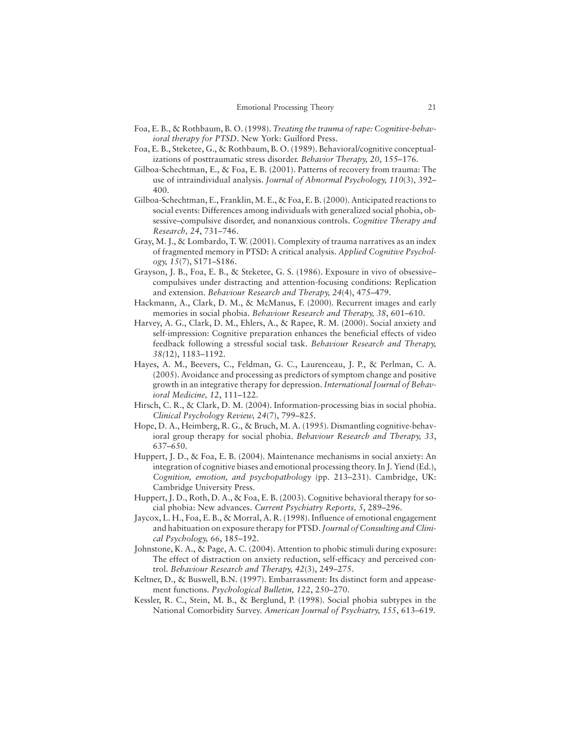- Foa, E. B., & Rothbaum, B. O. (1998). *Treating the trauma of rape: Cognitive-behavioral therapy for PTSD*. New York: Guilford Press.
- Foa, E. B., Steketee, G., & Rothbaum, B. O. (1989). Behavioral/cognitive conceptualizations of posttraumatic stress disorder. *Behavior Therapy, 20*, 155–176.
- Gilboa-Schechtman, E., & Foa, E. B. (2001). Patterns of recovery from trauma: The use of intraindividual analysis. *Journal of Abnormal Psychology, 110*(3), 392– 400.
- Gilboa-Schechtman, E., Franklin, M. E., & Foa, E. B. (2000). Anticipated reactions to social events: Differences among individuals with generalized social phobia, obsessive–compulsive disorder, and nonanxious controls. *Cognitive Therapy and Research, 24*, 731–746.
- Gray, M. J., & Lombardo, T. W. (2001). Complexity of trauma narratives as an index of fragmented memory in PTSD: A critical analysis. *Applied Cognitive Psychology, 15*(7), S171–S186.
- Grayson, J. B., Foa, E. B., & Steketee, G. S. (1986). Exposure in vivo of obsessive– compulsives under distracting and attention-focusing conditions: Replication and extension. *Behaviour Research and Therapy, 24*(4), 475–479.
- Hackmann, A., Clark, D. M., & McManus, F. (2000). Recurrent images and early memories in social phobia. *Behaviour Research and Therapy, 38*, 601–610.
- Harvey, A. G., Clark, D. M., Ehlers, A., & Rapee, R. M. (2000). Social anxiety and self-impression: Cognitive preparation enhances the beneficial effects of video feedback following a stressful social task. *Behaviour Research and Therapy, 38(*12), 1183–1192.
- Hayes, A. M., Beevers, C., Feldman, G. C., Laurenceau, J. P., & Perlman, C. A. (2005). Avoidance and processing as predictors of symptom change and positive growth in an integrative therapy for depression. *International Journal of Behavioral Medicine, 12*, 111–122.
- Hirsch, C. R., & Clark, D. M. (2004). Information-processing bias in social phobia. *Clinical Psychology Review, 24*(7), 799–825.
- Hope, D. A., Heimberg, R. G., & Bruch, M. A. (1995). Dismantling cognitive-behavioral group therapy for social phobia. *Behaviour Research and Therapy, 33*, 637–650.
- Huppert, J. D., & Foa, E. B. (2004). Maintenance mechanisms in social anxiety: An integration of cognitive biases and emotional processing theory. In J. Yiend (Ed.), *Cognition, emotion, and psychopathology* (pp. 213–231). Cambridge, UK: Cambridge University Press.
- Huppert, J. D., Roth, D. A., & Foa, E. B. (2003). Cognitive behavioral therapy for social phobia: New advances. *Current Psychiatry Reports, 5*, 289–296.
- Jaycox, L. H., Foa, E. B., & Morral, A. R. (1998). Influence of emotional engagement and habituation on exposure therapy for PTSD.*Journal of Consulting and Clinical Psychology, 66*, 185–192.
- Johnstone, K. A., & Page, A. C. (2004). Attention to phobic stimuli during exposure: The effect of distraction on anxiety reduction, self-efficacy and perceived control. *Behaviour Research and Therapy, 42*(3), 249–275.
- Keltner, D., & Buswell, B.N. (1997). Embarrassment: Its distinct form and appeasement functions. *Psychological Bulletin, 122*, 250–270.
- Kessler, R. C., Stein, M. B., & Berglund, P. (1998). Social phobia subtypes in the National Comorbidity Survey. *American Journal of Psychiatry, 155*, 613–619.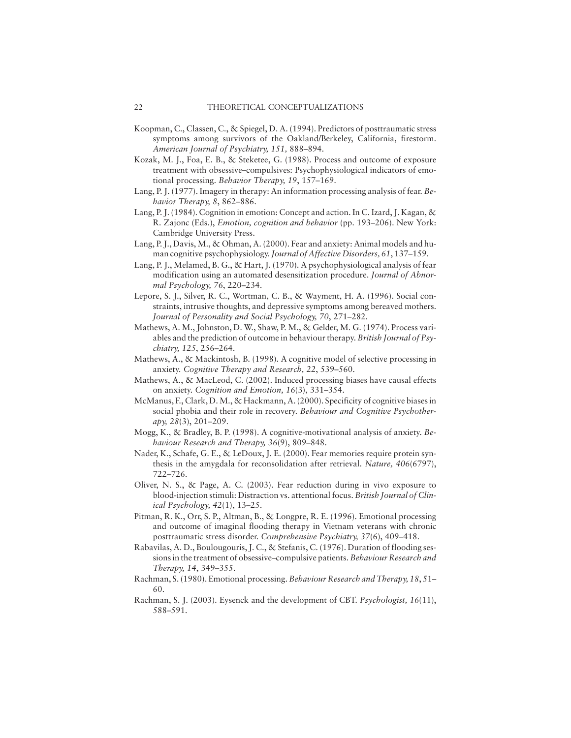- Koopman, C., Classen, C., & Spiegel, D. A. (1994). Predictors of posttraumatic stress symptoms among survivors of the Oakland/Berkeley, California, firestorm. *American Journal of Psychiatry, 151,* 888–894.
- Kozak, M. J., Foa, E. B., & Steketee, G. (1988). Process and outcome of exposure treatment with obsessive–compulsives: Psychophysiological indicators of emotional processing. *Behavior Therapy, 19*, 157–169.
- Lang, P. J. (1977). Imagery in therapy: An information processing analysis of fear. *Behavior Therapy, 8*, 862–886.
- Lang, P. J. (1984). Cognition in emotion: Concept and action. In C. Izard, J. Kagan, & R. Zajonc (Eds.), *Emotion, cognition and behavior* (pp. 193–206). New York: Cambridge University Press.
- Lang, P. J., Davis, M., & Ohman, A. (2000). Fear and anxiety: Animal models and human cognitive psychophysiology.*Journal of Affective Disorders, 61*, 137–159.
- Lang, P. J., Melamed, B. G., & Hart, J. (1970). A psychophysiological analysis of fear modification using an automated desensitization procedure. *Journal of Abnormal Psychology, 76*, 220–234.
- Lepore, S. J., Silver, R. C., Wortman, C. B., & Wayment, H. A. (1996). Social constraints, intrusive thoughts, and depressive symptoms among bereaved mothers. *Journal of Personality and Social Psychology, 70*, 271–282.
- Mathews, A. M., Johnston, D. W., Shaw, P. M., & Gelder, M. G. (1974). Process variables and the prediction of outcome in behaviour therapy. *British Journal of Psychiatry, 125*, 256–264.
- Mathews, A., & Mackintosh, B. (1998). A cognitive model of selective processing in anxiety. *Cognitive Therapy and Research, 22*, 539–560.
- Mathews, A., & MacLeod, C. (2002). Induced processing biases have causal effects on anxiety. *Cognition and Emotion, 16*(3), 331–354.
- McManus, F., Clark, D. M., & Hackmann, A. (2000). Specificity of cognitive biases in social phobia and their role in recovery. *Behaviour and Cognitive Psychotherapy, 28*(3), 201–209.
- Mogg, K., & Bradley, B. P. (1998). A cognitive-motivational analysis of anxiety. *Behaviour Research and Therapy, 36*(9), 809–848.
- Nader, K., Schafe, G. E., & LeDoux, J. E. (2000). Fear memories require protein synthesis in the amygdala for reconsolidation after retrieval. *Nature, 406*(6797), 722–726.
- Oliver, N. S., & Page, A. C. (2003). Fear reduction during in vivo exposure to blood-injection stimuli: Distraction vs. attentional focus. *British Journal of Clinical Psychology, 42*(1), 13–25.
- Pitman, R. K., Orr, S. P., Altman, B., & Longpre, R. E. (1996). Emotional processing and outcome of imaginal flooding therapy in Vietnam veterans with chronic posttraumatic stress disorder. *Comprehensive Psychiatry, 37*(6), 409–418.
- Rabavilas, A. D., Boulougouris, J. C., & Stefanis, C. (1976). Duration of flooding sessions in the treatment of obsessive–compulsive patients. *Behaviour Research and Therapy, 14*, 349–355.
- Rachman, S. (1980). Emotional processing.*Behaviour Research and Therapy, 18*, 51– 60.
- Rachman, S. J. (2003). Eysenck and the development of CBT. *Psychologist, 16*(11), 588–591.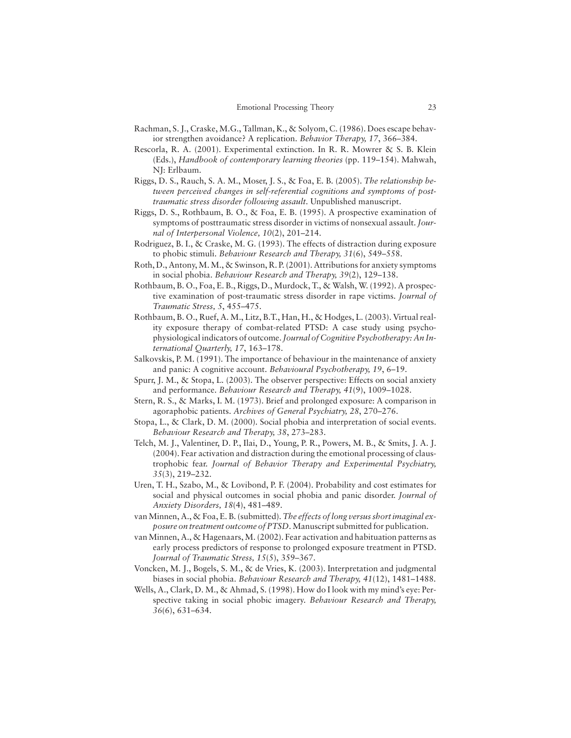- Rachman, S. J., Craske, M.G., Tallman, K., & Solyom, C. (1986). Does escape behavior strengthen avoidance? A replication. *Behavior Therapy, 17*, 366–384.
- Rescorla, R. A. (2001). Experimental extinction. In R. R. Mowrer & S. B. Klein (Eds.), *Handbook of contemporary learning theories* (pp. 119–154). Mahwah, NJ: Erlbaum.
- Riggs, D. S., Rauch, S. A. M., Moser, J. S., & Foa, E. B. (2005). *The relationship between perceived changes in self-referential cognitions and symptoms of posttraumatic stress disorder following assault*. Unpublished manuscript.
- Riggs, D. S., Rothbaum, B. O., & Foa, E. B. (1995). A prospective examination of symptoms of posttraumatic stress disorder in victims of nonsexual assault. *Journal of Interpersonal Violence, 10*(2), 201–214.
- Rodriguez, B. I., & Craske, M. G. (1993). The effects of distraction during exposure to phobic stimuli. *Behaviour Research and Therapy, 31*(6), 549–558.
- Roth, D., Antony, M. M., & Swinson, R. P. (2001). Attributions for anxiety symptoms in social phobia. *Behaviour Research and Therapy, 39*(2), 129–138.
- Rothbaum, B. O., Foa, E. B., Riggs, D., Murdock, T., & Walsh, W. (1992). A prospective examination of post-traumatic stress disorder in rape victims. *Journal of Traumatic Stress, 5*, 455–475.
- Rothbaum, B. O., Ruef, A. M., Litz, B.T., Han, H., & Hodges, L. (2003). Virtual reality exposure therapy of combat-related PTSD: A case study using psychophysiological indicators of outcome.*Journal of Cognitive Psychotherapy: An International Quarterly, 17*, 163–178.
- Salkovskis, P. M. (1991). The importance of behaviour in the maintenance of anxiety and panic: A cognitive account. *Behavioural Psychotherapy, 19*, 6–19.
- Spurr, J. M., & Stopa, L. (2003). The observer perspective: Effects on social anxiety and performance. *Behaviour Research and Therapy, 41*(9), 1009–1028.
- Stern, R. S., & Marks, I. M. (1973). Brief and prolonged exposure: A comparison in agoraphobic patients. *Archives of General Psychiatry, 28*, 270–276.
- Stopa, L., & Clark, D. M. (2000). Social phobia and interpretation of social events. *Behaviour Research and Therapy, 38*, 273–283.
- Telch, M. J., Valentiner, D. P., Ilai, D., Young, P. R., Powers, M. B., & Smits, J. A. J. (2004). Fear activation and distraction during the emotional processing of claustrophobic fear. *Journal of Behavior Therapy and Experimental Psychiatry, 35*(3), 219–232.
- Uren, T. H., Szabo, M., & Lovibond, P. F. (2004). Probability and cost estimates for social and physical outcomes in social phobia and panic disorder. *Journal of Anxiety Disorders, 18*(4), 481–489.
- van Minnen, A., & Foa, E. B. (submitted). *The effects of long versus short imaginal exposure on treatment outcome of PTSD*. Manuscript submitted for publication.
- van Minnen, A., & Hagenaars, M. (2002). Fear activation and habituation patterns as early process predictors of response to prolonged exposure treatment in PTSD. *Journal of Traumatic Stress, 15*(5), 359–367.
- Voncken, M. J., Bogels, S. M., & de Vries, K. (2003). Interpretation and judgmental biases in social phobia. *Behaviour Research and Therapy, 41*(12), 1481–1488.
- Wells, A., Clark, D. M., & Ahmad, S. (1998). How do I look with my mind's eye: Perspective taking in social phobic imagery. *Behaviour Research and Therapy, 36*(6), 631–634.